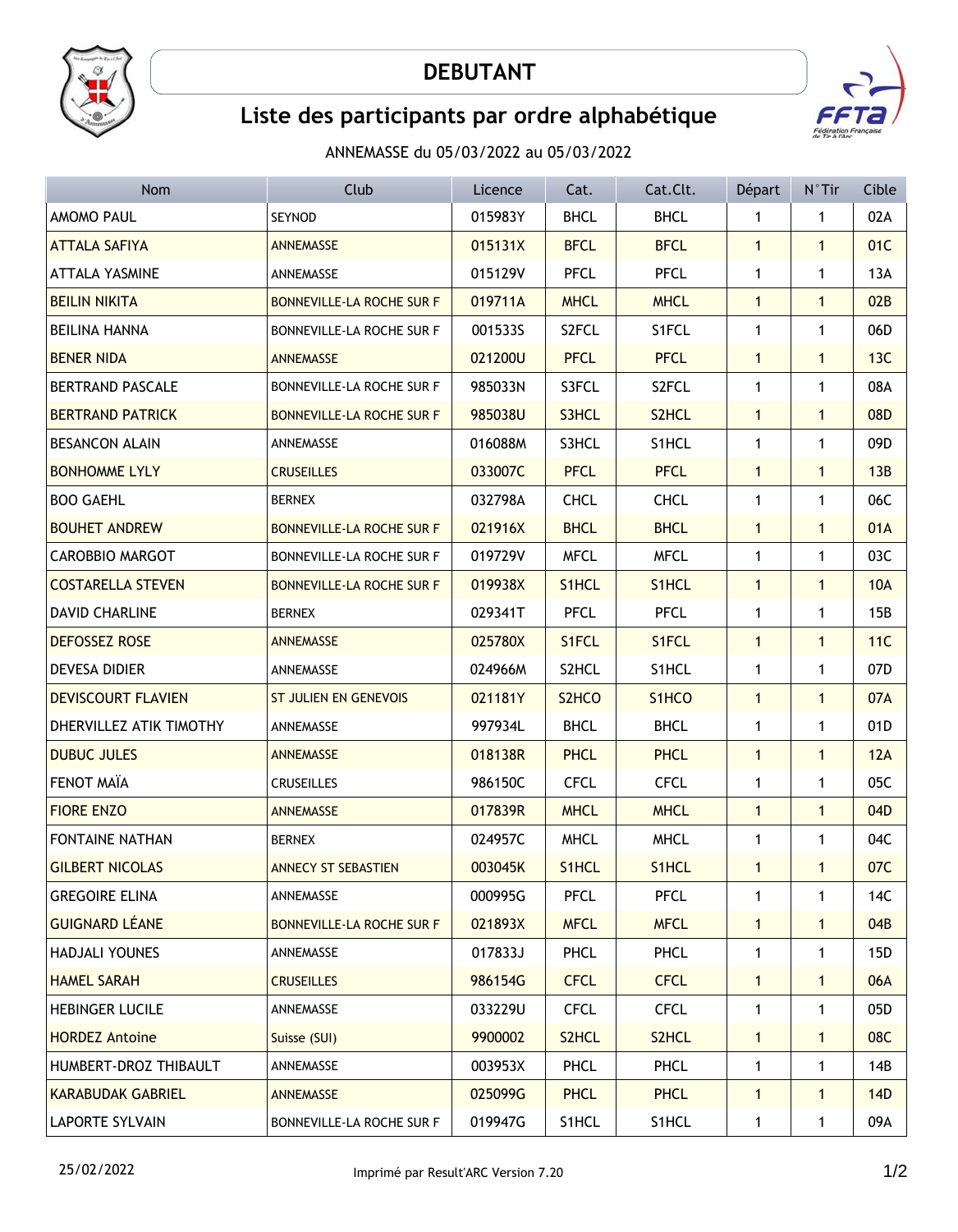

## **DEBUTANT**



## **Liste des participants par ordre alphabétique**

ANNEMASSE du 05/03/2022 au 05/03/2022

| Nom                       | Club                             | Licence | Cat.               | Cat.Clt.           | Départ       | $N^{\circ}$ Tir | Cible           |
|---------------------------|----------------------------------|---------|--------------------|--------------------|--------------|-----------------|-----------------|
| AMOMO PAUL                | SEYNOD                           | 015983Y | <b>BHCL</b>        | <b>BHCL</b>        | 1            | 1               | 02A             |
| <b>ATTALA SAFIYA</b>      | <b>ANNEMASSE</b>                 | 015131X | <b>BFCL</b>        | <b>BFCL</b>        | $\mathbf{1}$ | $\mathbf{1}$    | 01C             |
| <b>ATTALA YASMINE</b>     | ANNEMASSE                        | 015129V | <b>PFCL</b>        | <b>PFCL</b>        | $\mathbf{1}$ | $\mathbf{1}$    | 13A             |
| <b>BEILIN NIKITA</b>      | <b>BONNEVILLE-LA ROCHE SUR F</b> | 019711A | <b>MHCL</b>        | <b>MHCL</b>        | $\mathbf{1}$ | $\mathbf{1}$    | 02B             |
| <b>BEILINA HANNA</b>      | BONNEVILLE-LA ROCHE SUR F        | 0015335 | S2FCL              | S1FCL              | $\mathbf{1}$ | $\mathbf{1}$    | 06D             |
| <b>BENER NIDA</b>         | <b>ANNEMASSE</b>                 | 021200U | <b>PFCL</b>        | <b>PFCL</b>        | $\mathbf{1}$ | $\mathbf{1}$    | 13C             |
| <b>BERTRAND PASCALE</b>   | BONNEVILLE-LA ROCHE SUR F        | 985033N | S3FCL              | S2FCL              | 1            | 1               | 08A             |
| <b>BERTRAND PATRICK</b>   | BONNEVILLE-LA ROCHE SUR F        | 985038U | S3HCL              | S2HCL              | $\mathbf{1}$ | $\mathbf{1}$    | 08D             |
| <b>BESANCON ALAIN</b>     | ANNEMASSE                        | 016088M | S3HCL              | S1HCL              | $\mathbf 1$  | 1               | 09D             |
| <b>BONHOMME LYLY</b>      | <b>CRUSEILLES</b>                | 033007C | <b>PFCL</b>        | <b>PFCL</b>        | $\mathbf{1}$ | $\mathbf{1}$    | 13B             |
| <b>BOO GAEHL</b>          | <b>BERNEX</b>                    | 032798A | <b>CHCL</b>        | <b>CHCL</b>        | 1            | 1               | 06C             |
| <b>BOUHET ANDREW</b>      | BONNEVILLE-LA ROCHE SUR F        | 021916X | <b>BHCL</b>        | <b>BHCL</b>        | $\mathbf{1}$ | 1               | 01A             |
| <b>CAROBBIO MARGOT</b>    | BONNEVILLE-LA ROCHE SUR F        | 019729V | <b>MFCL</b>        | <b>MFCL</b>        | 1            | 1               | 03C             |
| <b>COSTARELLA STEVEN</b>  | BONNEVILLE-LA ROCHE SUR F        | 019938X | S1HCL              | S1HCL              | $\mathbf{1}$ | $\mathbf{1}$    | <b>10A</b>      |
| <b>DAVID CHARLINE</b>     | <b>BERNEX</b>                    | 029341T | <b>PFCL</b>        | <b>PFCL</b>        | $\mathbf 1$  | $\mathbf{1}$    | 15B             |
| <b>DEFOSSEZ ROSE</b>      | <b>ANNEMASSE</b>                 | 025780X | S1FCL              | S1FCL              | $\mathbf{1}$ | $\mathbf{1}$    | 11C             |
| DEVESA DIDIER             | ANNEMASSE                        | 024966M | S2HCL              | S1HCL              | $\mathbf{1}$ | $\mathbf{1}$    | 07 <sub>D</sub> |
| <b>DEVISCOURT FLAVIEN</b> | <b>ST JULIEN EN GENEVOIS</b>     | 021181Y | S <sub>2</sub> HCO | S1HCO              | $\mathbf{1}$ | $\mathbf{1}$    | 07A             |
| DHERVILLEZ ATIK TIMOTHY   | ANNEMASSE                        | 997934L | <b>BHCL</b>        | <b>BHCL</b>        | 1            | $\mathbf{1}$    | 01D             |
| <b>DUBUC JULES</b>        | <b>ANNEMASSE</b>                 | 018138R | <b>PHCL</b>        | <b>PHCL</b>        | $\mathbf{1}$ | $\mathbf{1}$    | 12A             |
| FENOT MAÏA                | CRUSEILLES                       | 986150C | <b>CFCL</b>        | <b>CFCL</b>        | 1            | $\mathbf{1}$    | 05C             |
| <b>FIORE ENZO</b>         | <b>ANNEMASSE</b>                 | 017839R | <b>MHCL</b>        | <b>MHCL</b>        | $\mathbf{1}$ | $\mathbf{1}$    | 04D             |
| <b>FONTAINE NATHAN</b>    | <b>BERNEX</b>                    | 024957C | <b>MHCL</b>        | <b>MHCL</b>        | $\mathbf 1$  | 1               | 04C             |
| <b>GILBERT NICOLAS</b>    | <b>ANNECY ST SEBASTIEN</b>       | 003045K | S1HCL              | S1HCL              | $\mathbf{1}$ | $\mathbf{1}$    | 07C             |
| <b>GREGOIRE ELINA</b>     | ANNEMASSE                        | 000995G | PFCL               | PFCL               | 1            | 1               | 14C             |
| <b>GUIGNARD LÉANE</b>     | BONNEVILLE-LA ROCHE SUR F        | 021893X | <b>MFCL</b>        | <b>MFCL</b>        | $\mathbf{1}$ | $\mathbf{1}$    | 04B             |
| <b>HADJALI YOUNES</b>     | ANNEMASSE                        | 017833J | PHCL               | <b>PHCL</b>        | 1            | 1               | 15D             |
| <b>HAMEL SARAH</b>        | <b>CRUSEILLES</b>                | 986154G | <b>CFCL</b>        | <b>CFCL</b>        | $\mathbf{1}$ | $\mathbf{1}$    | 06A             |
| HEBINGER LUCILE           | ANNEMASSE                        | 033229U | <b>CFCL</b>        | <b>CFCL</b>        | 1            | 1               | 05D             |
| <b>HORDEZ Antoine</b>     | Suisse (SUI)                     | 9900002 | S <sub>2</sub> HCL | S <sub>2</sub> HCL | $\mathbf{1}$ | $\mathbf{1}$    | 08C             |
| HUMBERT-DROZ THIBAULT     | ANNEMASSE                        | 003953X | PHCL               | <b>PHCL</b>        | $\mathbf{1}$ | 1               | 14B             |
| <b>KARABUDAK GABRIEL</b>  | ANNEMASSE                        | 025099G | <b>PHCL</b>        | <b>PHCL</b>        | $\mathbf{1}$ | $\mathbf{1}$    | 14D             |
| <b>LAPORTE SYLVAIN</b>    | BONNEVILLE-LA ROCHE SUR F        | 019947G | S1HCL              | S1HCL              | $\mathbf{1}$ | 1               | 09A             |